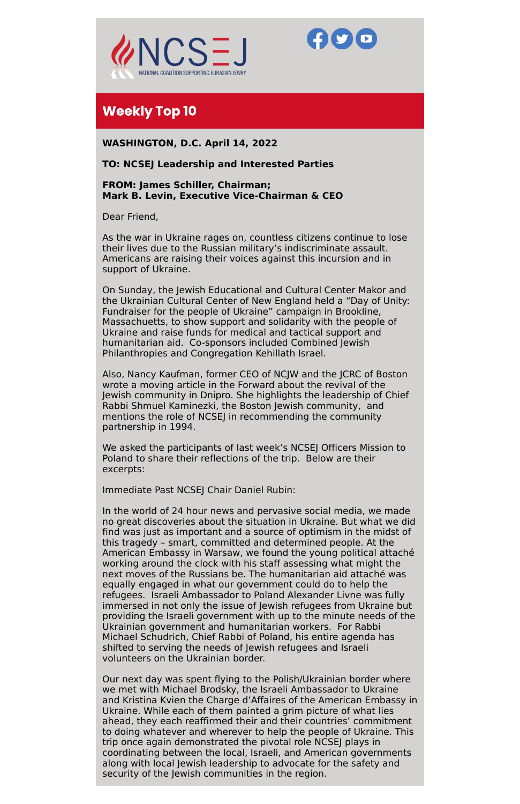



# **Weekly Top 10**

**WASHINGTON, D.C. April 14, 2022**

# **TO: NCSEJ Leadership and Interested Parties**

**FROM: James Schiller, Chairman; Mark B. Levin, Executive Vice-Chairman & CEO**

Dear Friend,

As the war in Ukraine rages on, countless citizens continue to lose their lives due to the Russian military's indiscriminate assault. Americans are raising their voices against this incursion and in support of Ukraine.

On Sunday, the Jewish Educational and Cultural Center Makor and the Ukrainian Cultural Center of New England held a "Day of Unity: Fundraiser for the people of Ukraine" campaign in Brookline, Massachuetts, to show support and solidarity with the people of Ukraine and raise funds for medical and tactical support and humanitarian aid. Co-sponsors included Combined Jewish Philanthropies and Congregation Kehillath Israel.

Also, Nancy Kaufman, former CEO of NCJW and the JCRC of Boston wrote a moving article in the Forward about the revival of the Jewish community in Dnipro. She highlights the leadership of Chief Rabbi Shmuel Kaminezki, the Boston Jewish community, and mentions the role of NCSEJ in recommending the community partnership in 1994.

We asked the participants of last week's NCSEJ Officers Mission to Poland to share their reflections of the trip. Below are their excerpts:

Immediate Past NCSEJ Chair Daniel Rubin:

In the world of 24 hour news and pervasive social media, we made no great discoveries about the situation in Ukraine. But what we did find was just as important and a source of optimism in the midst of this tragedy – smart, committed and determined people. At the American Embassy in Warsaw, we found the young political attaché working around the clock with his staff assessing what might the next moves of the Russians be. The humanitarian aid attaché was equally engaged in what our government could do to help the refugees. Israeli Ambassador to Poland Alexander Livne was fully immersed in not only the issue of Jewish refugees from Ukraine but providing the Israeli government with up to the minute needs of the Ukrainian government and humanitarian workers. For Rabbi Michael Schudrich, Chief Rabbi of Poland, his entire agenda has shifted to serving the needs of Jewish refugees and Israeli volunteers on the Ukrainian border.

Our next day was spent flying to the Polish/Ukrainian border where we met with Michael Brodsky, the Israeli Ambassador to Ukraine and Kristina Kvien the Charge d'Affaires of the American Embassy in Ukraine. While each of them painted a grim picture of what lies ahead, they each reaffirmed their and their countries' commitment to doing whatever and wherever to help the people of Ukraine. This trip once again demonstrated the pivotal role NCSEJ plays in coordinating between the local, Israeli, and American governments along with local Jewish leadership to advocate for the safety and security of the Jewish communities in the region.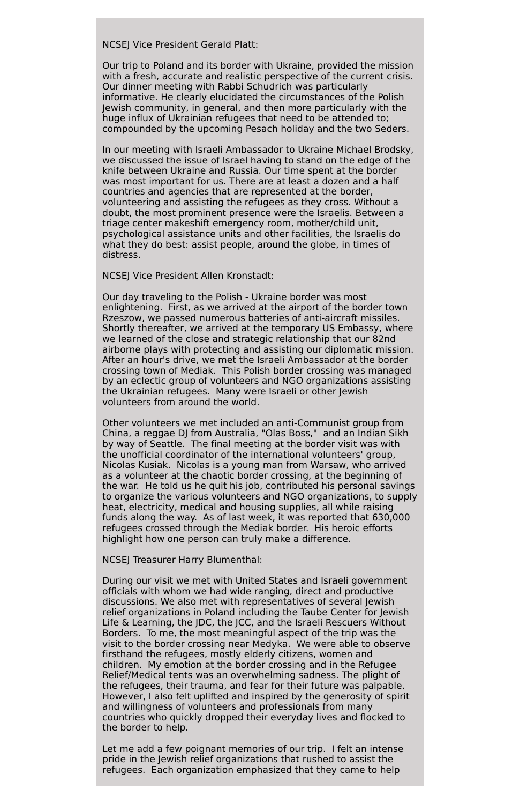NCSEJ Vice President Gerald Platt:

Our trip to Poland and its border with Ukraine, provided the mission with a fresh, accurate and realistic perspective of the current crisis. Our dinner meeting with Rabbi Schudrich was particularly informative. He clearly elucidated the circumstances of the Polish Jewish community, in general, and then more particularly with the huge influx of Ukrainian refugees that need to be attended to; compounded by the upcoming Pesach holiday and the two Seders.

In our meeting with Israeli Ambassador to Ukraine Michael Brodsky, we discussed the issue of Israel having to stand on the edge of the knife between Ukraine and Russia. Our time spent at the border was most important for us. There are at least a dozen and a half countries and agencies that are represented at the border, volunteering and assisting the refugees as they cross. Without a doubt, the most prominent presence were the Israelis. Between a triage center makeshift emergency room, mother/child unit, psychological assistance units and other facilities, the Israelis do what they do best: assist people, around the globe, in times of distress.

NCSEJ Vice President Allen Kronstadt:

Our day traveling to the Polish - Ukraine border was most enlightening. First, as we arrived at the airport of the border town Rzeszow, we passed numerous batteries of anti-aircraft missiles. Shortly thereafter, we arrived at the temporary US Embassy, where we learned of the close and strategic relationship that our 82nd airborne plays with protecting and assisting our diplomatic mission. After an hour's drive, we met the Israeli Ambassador at the border crossing town of Mediak. This Polish border crossing was managed by an eclectic group of volunteers and NGO organizations assisting the Ukrainian refugees. Many were Israeli or other Jewish volunteers from around the world.

Other volunteers we met included an anti-Communist group from China, a reggae DJ from Australia, "Olas Boss," and an Indian Sikh by way of Seattle. The final meeting at the border visit was with the unofficial coordinator of the international volunteers' group, Nicolas Kusiak. Nicolas is a young man from Warsaw, who arrived as a volunteer at the chaotic border crossing, at the beginning of the war. He told us he quit his job, contributed his personal savings to organize the various volunteers and NGO organizations, to supply heat, electricity, medical and housing supplies, all while raising funds along the way. As of last week, it was reported that 630,000 refugees crossed through the Mediak border. His heroic efforts highlight how one person can truly make a difference.

NCSEJ Treasurer Harry Blumenthal:

During our visit we met with United States and Israeli government officials with whom we had wide ranging, direct and productive discussions. We also met with representatives of several Jewish relief organizations in Poland including the Taube Center for Jewish Life & Learning, the JDC, the JCC, and the Israeli Rescuers Without Borders. To me, the most meaningful aspect of the trip was the visit to the border crossing near Medyka. We were able to observe firsthand the refugees, mostly elderly citizens, women and children. My emotion at the border crossing and in the Refugee Relief/Medical tents was an overwhelming sadness. The plight of the refugees, their trauma, and fear for their future was palpable. However, I also felt uplifted and inspired by the generosity of spirit and willingness of volunteers and professionals from many countries who quickly dropped their everyday lives and flocked to the border to help.

Let me add a few poignant memories of our trip. I felt an intense pride in the Jewish relief organizations that rushed to assist the refugees. Each organization emphasized that they came to help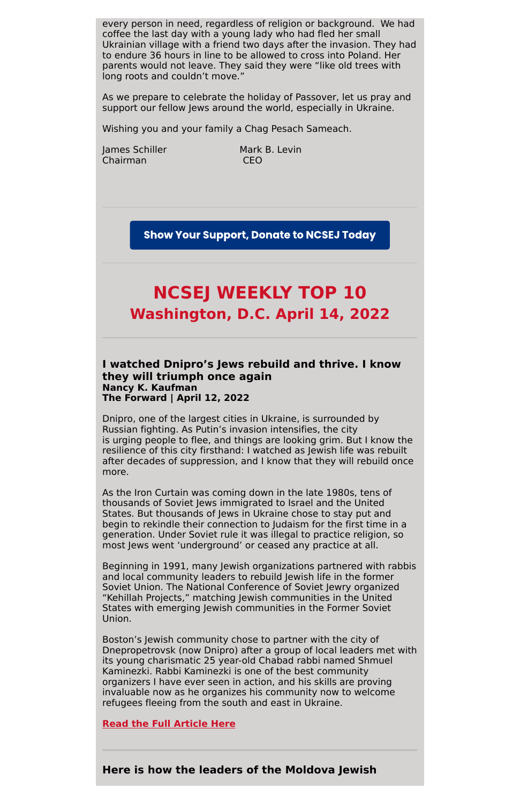every person in need, regardless of religion or background. We had coffee the last day with a young lady who had fled her small Ukrainian village with a friend two days after the invasion. They had to endure 36 hours in line to be allowed to cross into Poland. Her parents would not leave. They said they were "like old trees with long roots and couldn't move."

James Schiller Mark B. Levin Chairman CEO

**Show Your Support, Donate to NCSEJ Today** 

As we prepare to celebrate the holiday of Passover, let us pray and support our fellow Jews around the world, especially in Ukraine.

Wishing you and your family a Chag Pesach Sameach.

# **NCSEJ WEEKLY TOP 10 Washington, D.C. April 14, 2022**

# **I watched Dnipro's Jews rebuild and thrive. I know they will triumph once again Nancy K. Kaufman The Forward | April 12, 2022**

Dnipro, one of the largest cities in Ukraine, is surrounded by Russian fighting. As Putin's invasion intensifies, the city is urging people to flee, and things are looking grim. But I know the resilience of this city firsthand: I watched as Jewish life was rebuilt after decades of suppression, and I know that they will rebuild once more.

As the Iron Curtain was coming down in the late 1980s, tens of thousands of Soviet Jews immigrated to Israel and the United States. But thousands of Jews in Ukraine chose to stay put and begin to rekindle their connection to Judaism for the first time in a generation. Under Soviet rule it was illegal to practice religion, so most Jews went 'underground' or ceased any practice at all.

Beginning in 1991, many Jewish organizations partnered with rabbis and local community leaders to rebuild Jewish life in the former Soviet Union. The National Conference of Soviet Jewry organized "Kehillah Projects," matching Jewish communities in the United States with emerging Jewish communities in the Former Soviet Union.

Boston's Jewish community chose to partner with the city of Dnepropetrovsk (now Dnipro) after a group of local leaders met with its young charismatic 25 year-old Chabad rabbi named Shmuel Kaminezki. Rabbi Kaminezki is one of the best community organizers I have ever seen in action, and his skills are proving invaluable now as he organizes his community now to welcome refugees fleeing from the south and east in Ukraine.

**Read the Full [Article](https://forward.com/opinion/485307/i-watched-dnipros-jews-rebuild-and-thrive-i-know-they-will-triumph-again/) Here**

**Here is how the leaders of the Moldova Jewish**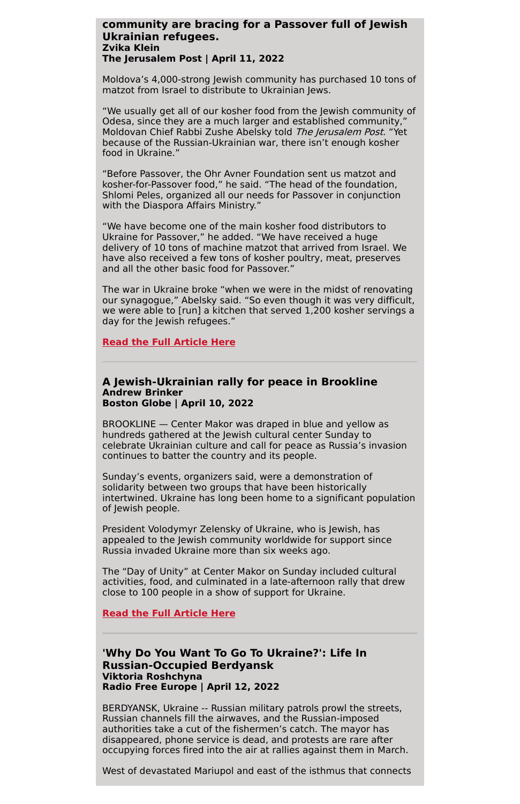## **community are bracing for a Passover full of Jewish Ukrainian refugees. Zvika Klein The Jerusalem Post | April 11, 2022**

Moldova's 4,000-strong Jewish community has purchased 10 tons of matzot from Israel to distribute to Ukrainian Jews.

"We usually get all of our kosher food from the Jewish community of Odesa, since they are a much larger and established community," Moldovan Chief Rabbi Zushe Abelsky told The Jerusalem Post. "Yet because of the Russian-Ukrainian war, there isn't enough kosher food in Ukraine."

"Before Passover, the Ohr Avner Foundation sent us matzot and kosher-for-Passover food," he said. "The head of the foundation, Shlomi Peles, organized all our needs for Passover in conjunction with the Diaspora Affairs Ministry."

"We have become one of the main kosher food distributors to Ukraine for Passover," he added. "We have received a huge delivery of 10 tons of machine matzot that arrived from Israel. We have also received a few tons of kosher poultry, meat, preserves and all the other basic food for Passover."

The war in Ukraine broke "when we were in the midst of renovating our synagogue," Abelsky said. "So even though it was very difficult, we were able to [run] a kitchen that served 1,200 kosher servings a day for the Jewish refugees."

# **Read the Full [Article](https://www.jpost.com/j-spot/article-703834) Here**

#### **A Jewish-Ukrainian rally for peace in Brookline Andrew Brinker Boston Globe | April 10, 2022**

BROOKLINE — Center Makor was draped in blue and yellow as hundreds gathered at the Jewish cultural center Sunday to celebrate Ukrainian culture and call for peace as Russia's invasion continues to batter the country and its people.

Sunday's events, organizers said, were a demonstration of solidarity between two groups that have been historically intertwined. Ukraine has long been home to a significant population of Jewish people.

President Volodymyr Zelensky of Ukraine, who is Jewish, has appealed to the Jewish community worldwide for support since Russia invaded Ukraine more than six weeks ago.

The "Day of Unity" at Center Makor on Sunday included cultural activities, food, and culminated in a late-afternoon rally that drew

close to 100 people in a show of support for Ukraine.

**Read the Full [Article](https://www.bostonglobe.com/2022/04/10/metro/jewish-ukrainian-rally-peace-brookline/?s_campaign=8315) Here**

# **'Why Do You Want To Go To Ukraine?': Life In Russian-Occupied Berdyansk Viktoria Roshchyna Radio Free Europe | April 12, 2022**

BERDYANSK, Ukraine -- Russian military patrols prowl the streets, Russian channels fill the airwaves, and the Russian-imposed authorities take a cut of the fishermen's catch. The mayor has disappeared, phone service is dead, and protests are rare after occupying forces fired into the air at rallies against them in March.

West of devastated Mariupol and east of the isthmus that connects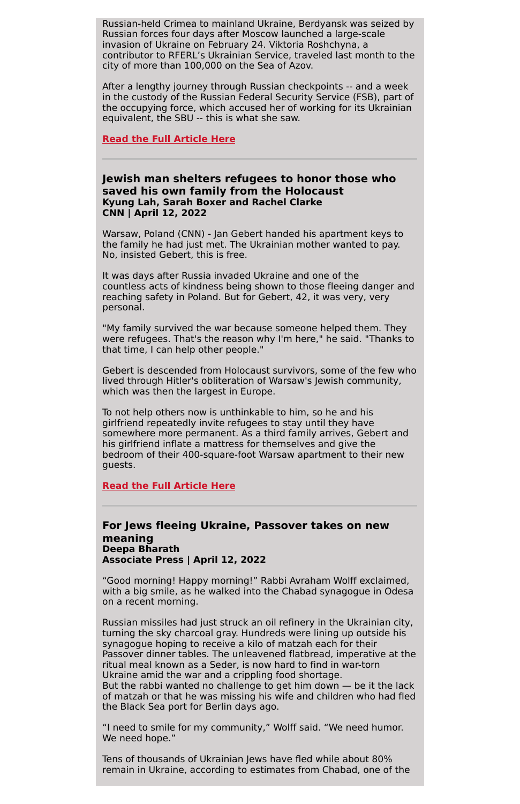Russian-held Crimea to mainland Ukraine, Berdyansk was seized by Russian forces four days after Moscow launched a large-scale invasion of Ukraine on February 24. Viktoria Roshchyna, a contributor to RFERL's Ukrainian Service, traveled last month to the city of more than 100,000 on the Sea of Azov.

After a lengthy journey through Russian checkpoints -- and a week in the custody of the Russian Federal Security Service (FSB), part of the occupying force, which accused her of working for its Ukrainian equivalent, the SBU -- this is what she saw.

#### **Read the Full [Article](https://www.rferl.org/a/ukraine-berdyansk-russia-occupation-life/31798991.html) Here**

# **Jewish man shelters refugees to honor those who saved his own family from the Holocaust Kyung Lah, Sarah Boxer and Rachel Clarke CNN | April 12, 2022**

Warsaw, Poland (CNN) - Jan Gebert handed his apartment keys to the family he had just met. The Ukrainian mother wanted to pay. No, insisted Gebert, this is free.

It was days after Russia invaded Ukraine and one of the countless acts of kindness being shown to those fleeing danger and reaching safety in Poland. But for Gebert, 42, it was very, very personal.

"My family survived the war because someone helped them. They were refugees. That's the reason why I'm here," he said. "Thanks to that time, I can help other people."

Gebert is descended from Holocaust survivors, some of the few who lived through Hitler's obliteration of Warsaw's Jewish community, which was then the largest in Europe.

To not help others now is unthinkable to him, so he and his girlfriend repeatedly invite refugees to stay until they have somewhere more permanent. As a third family arrives, Gebert and his girlfriend inflate a mattress for themselves and give the bedroom of their 400-square-foot Warsaw apartment to their new guests.

#### **Read the Full [Article](https://www.cnn.com/2022/04/11/europe/poland-warsaw-jews-help-ukrainian-refugees/index.html) Here**

## **For Jews fleeing Ukraine, Passover takes on new meaning Deepa Bharath Associate Press | April 12, 2022**

"Good morning! Happy morning!" Rabbi Avraham Wolff exclaimed, with a big smile, as he walked into the Chabad synagogue in Odesa on a recent morning.

Russian missiles had just struck an oil refinery in the Ukrainian city, turning the sky charcoal gray. Hundreds were lining up outside his synagogue hoping to receive a kilo of matzah each for their Passover dinner tables. The unleavened flatbread, imperative at the ritual meal known as a Seder, is now hard to find in war-torn Ukraine amid the war and a crippling food shortage. But the rabbi wanted no challenge to get him down — be it the lack of matzah or that he was missing his wife and children who had fled the Black Sea port for Berlin days ago.

"I need to smile for my community," Wolff said. "We need humor. We need hope."

Tens of thousands of Ukrainian Jews have fled while about 80% remain in Ukraine, according to estimates from Chabad, one of the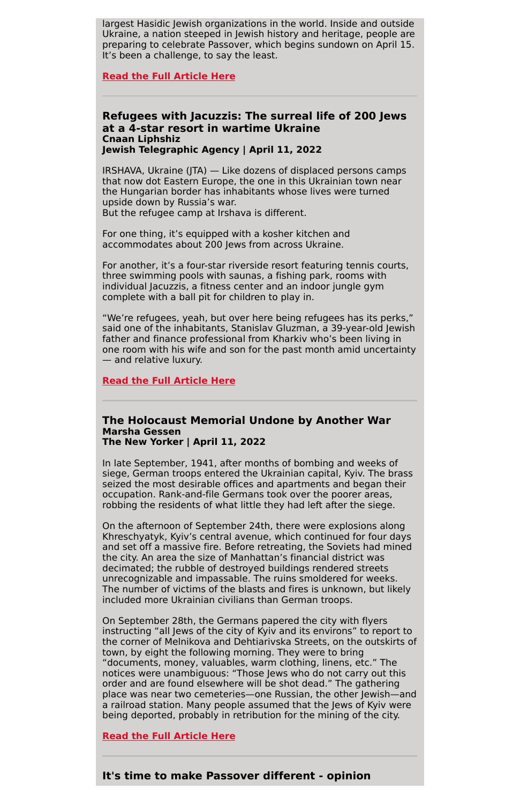largest Hasidic Jewish organizations in the world. Inside and outside Ukraine, a nation steeped in Jewish history and heritage, people are preparing to celebrate Passover, which begins sundown on April 15. It's been a challenge, to say the least.

**Read the Full [Article](https://apnews.com/article/russia-ukraine-africa-europe-berlin-passover-91a86a1668df7fd15cb879911a0d9dcd) Here**

## **Refugees with Jacuzzis: The surreal life of 200 Jews at a 4-star resort in wartime Ukraine Cnaan Liphshiz Jewish Telegraphic Agency | April 11, 2022**

IRSHAVA, Ukraine (JTA) — Like dozens of displaced persons camps that now dot Eastern Europe, the one in this Ukrainian town near the Hungarian border has inhabitants whose lives were turned upside down by Russia's war.

But the refugee camp at Irshava is different.

For one thing, it's equipped with a kosher kitchen and accommodates about 200 Jews from across Ukraine.

For another, it's a four-star riverside resort featuring tennis courts, three swimming pools with saunas, a fishing park, rooms with individual Jacuzzis, a fitness center and an indoor jungle gym complete with a ball pit for children to play in.

"We're refugees, yeah, but over here being refugees has its perks," said one of the inhabitants, Stanislav Gluzman, a 39-year-old Jewish father and finance professional from Kharkiv who's been living in one room with his wife and son for the past month amid uncertainty — and relative luxury.

#### **Read the Full [Article](https://www.jta.org/2022/04/11/global/refugees-with-jacuzzis-the-surreal-life-of-200-jews-at-a-4-star-resort-in-wartime-ukraine) Here**

#### **The Holocaust Memorial Undone by Another War Marsha Gessen The New Yorker | April 11, 2022**

In late September, 1941, after months of bombing and weeks of siege, German troops entered the Ukrainian capital, Kyiv. The brass seized the most desirable offices and apartments and began their occupation. Rank-and-file Germans took over the poorer areas, robbing the residents of what little they had left after the siege.

On the afternoon of September 24th, there were explosions along Khreschyatyk, Kyiv's central avenue, which continued for four days and set off a massive fire. Before retreating, the Soviets had mined the city. An area the size of Manhattan's financial district was decimated; the rubble of destroyed buildings rendered streets unrecognizable and impassable. The ruins smoldered for weeks. The number of victims of the blasts and fires is unknown, but likely included more Ukrainian civilians than German troops.

On September 28th, the Germans papered the city with flyers instructing "all Jews of the city of Kyiv and its environs" to report to the corner of Melnikova and Dehtiarivska Streets, on the outskirts of town, by eight the following morning. They were to bring "documents, money, valuables, warm clothing, linens, etc." The notices were unambiguous: "Those Jews who do not carry out this order and are found elsewhere will be shot dead." The gathering place was near two cemeteries—one Russian, the other Jewish—and a railroad station. Many people assumed that the Jews of Kyiv were being deported, probably in retribution for the mining of the city.

**Read the Full [Article](https://www.newyorker.com/magazine/2022/04/18/the-holocaust-memorial-undone-by-another-war) Here**

**It's time to make Passover different - opinion**